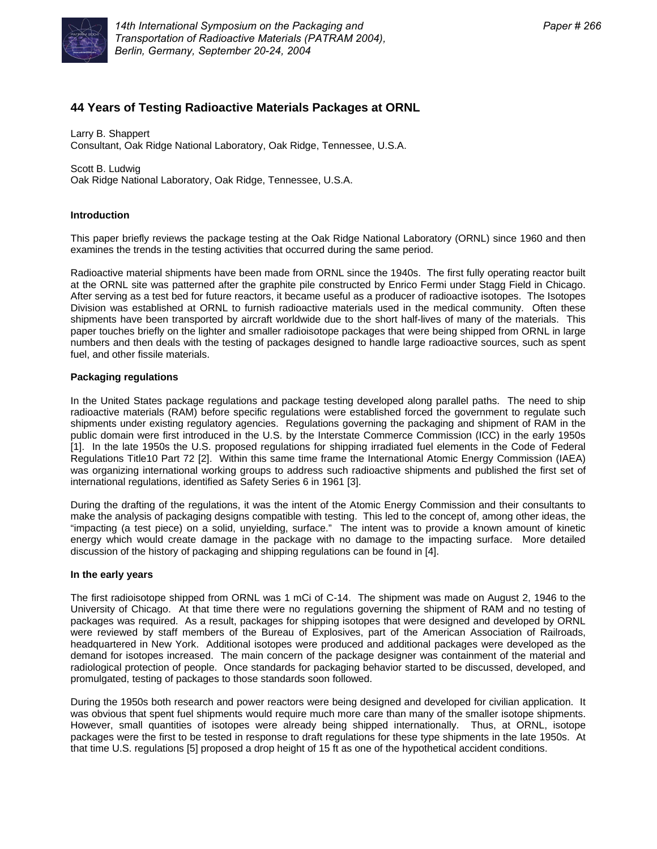

# **44 Years of Testing Radioactive Materials Packages at ORNL**

Larry B. Shappert Consultant, Oak Ridge National Laboratory, Oak Ridge, Tennessee, U.S.A.

Scott B. Ludwig Oak Ridge National Laboratory, Oak Ridge, Tennessee, U.S.A.

# **Introduction**

This paper briefly reviews the package testing at the Oak Ridge National Laboratory (ORNL) since 1960 and then examines the trends in the testing activities that occurred during the same period.

Radioactive material shipments have been made from ORNL since the 1940s. The first fully operating reactor built at the ORNL site was patterned after the graphite pile constructed by Enrico Fermi under Stagg Field in Chicago. After serving as a test bed for future reactors, it became useful as a producer of radioactive isotopes. The Isotopes Division was established at ORNL to furnish radioactive materials used in the medical community. Often these shipments have been transported by aircraft worldwide due to the short half-lives of many of the materials. This paper touches briefly on the lighter and smaller radioisotope packages that were being shipped from ORNL in large numbers and then deals with the testing of packages designed to handle large radioactive sources, such as spent fuel, and other fissile materials.

## **Packaging regulations**

In the United States package regulations and package testing developed along parallel paths. The need to ship radioactive materials (RAM) before specific regulations were established forced the government to regulate such shipments under existing regulatory agencies. Regulations governing the packaging and shipment of RAM in the public domain were first introduced in the U.S. by the Interstate Commerce Commission (ICC) in the early 1950s [1]. In the late 1950s the U.S. proposed regulations for shipping irradiated fuel elements in the Code of Federal Regulations Title10 Part 72 [2]. Within this same time frame the International Atomic Energy Commission (IAEA) was organizing international working groups to address such radioactive shipments and published the first set of international regulations, identified as Safety Series 6 in 1961 [3].

During the drafting of the regulations, it was the intent of the Atomic Energy Commission and their consultants to make the analysis of packaging designs compatible with testing. This led to the concept of, among other ideas, the "impacting (a test piece) on a solid, unyielding, surface." The intent was to provide a known amount of kinetic energy which would create damage in the package with no damage to the impacting surface. More detailed discussion of the history of packaging and shipping regulations can be found in [4].

### **In the early years**

The first radioisotope shipped from ORNL was 1 mCi of C-14. The shipment was made on August 2, 1946 to the University of Chicago. At that time there were no regulations governing the shipment of RAM and no testing of packages was required. As a result, packages for shipping isotopes that were designed and developed by ORNL were reviewed by staff members of the Bureau of Explosives, part of the American Association of Railroads, headquartered in New York. Additional isotopes were produced and additional packages were developed as the demand for isotopes increased. The main concern of the package designer was containment of the material and radiological protection of people. Once standards for packaging behavior started to be discussed, developed, and promulgated, testing of packages to those standards soon followed.

During the 1950s both research and power reactors were being designed and developed for civilian application. It was obvious that spent fuel shipments would require much more care than many of the smaller isotope shipments. However, small quantities of isotopes were already being shipped internationally. Thus, at ORNL, isotope packages were the first to be tested in response to draft regulations for these type shipments in the late 1950s. At that time U.S. regulations [5] proposed a drop height of 15 ft as one of the hypothetical accident conditions.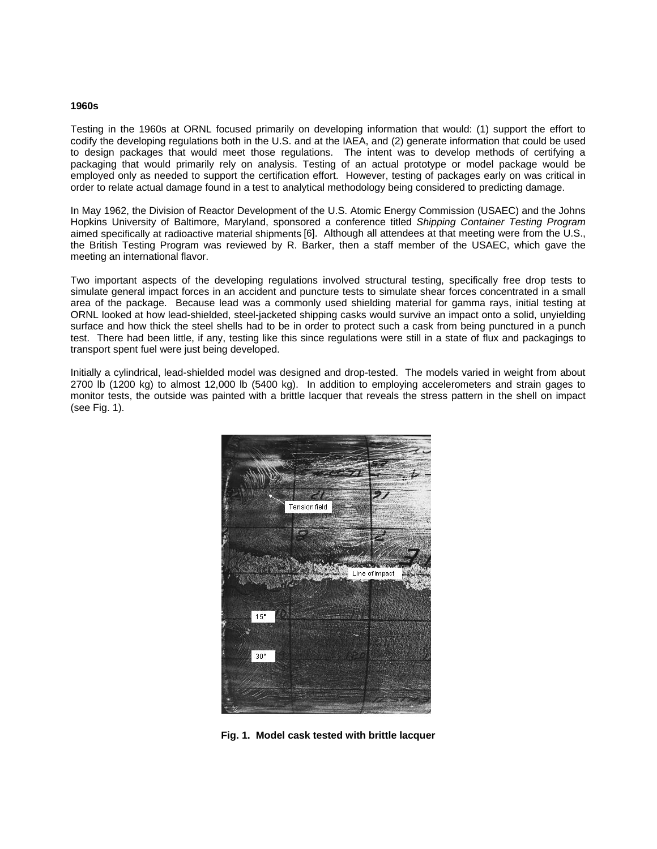#### **1960s**

Testing in the 1960s at ORNL focused primarily on developing information that would: (1) support the effort to codify the developing regulations both in the U.S. and at the IAEA, and (2) generate information that could be used to design packages that would meet those regulations. The intent was to develop methods of certifying a packaging that would primarily rely on analysis. Testing of an actual prototype or model package would be employed only as needed to support the certification effort. However, testing of packages early on was critical in order to relate actual damage found in a test to analytical methodology being considered to predicting damage.

In May 1962, the Division of Reactor Development of the U.S. Atomic Energy Commission (USAEC) and the Johns Hopkins University of Baltimore, Maryland, sponsored a conference titled *Shipping Container Testing Program*  aimed specifically at radioactive material shipments [6]. Although all attendees at that meeting were from the U.S., the British Testing Program was reviewed by R. Barker, then a staff member of the USAEC, which gave the meeting an international flavor.

Two important aspects of the developing regulations involved structural testing, specifically free drop tests to simulate general impact forces in an accident and puncture tests to simulate shear forces concentrated in a small area of the package. Because lead was a commonly used shielding material for gamma rays, initial testing at ORNL looked at how lead-shielded, steel-jacketed shipping casks would survive an impact onto a solid, unyielding surface and how thick the steel shells had to be in order to protect such a cask from being punctured in a punch test. There had been little, if any, testing like this since regulations were still in a state of flux and packagings to transport spent fuel were just being developed.

Initially a cylindrical, lead-shielded model was designed and drop-tested. The models varied in weight from about 2700 lb (1200 kg) to almost 12,000 lb (5400 kg). In addition to employing accelerometers and strain gages to monitor tests, the outside was painted with a brittle lacquer that reveals the stress pattern in the shell on impact (see Fig. 1).



**Fig. 1. Model cask tested with brittle lacquer**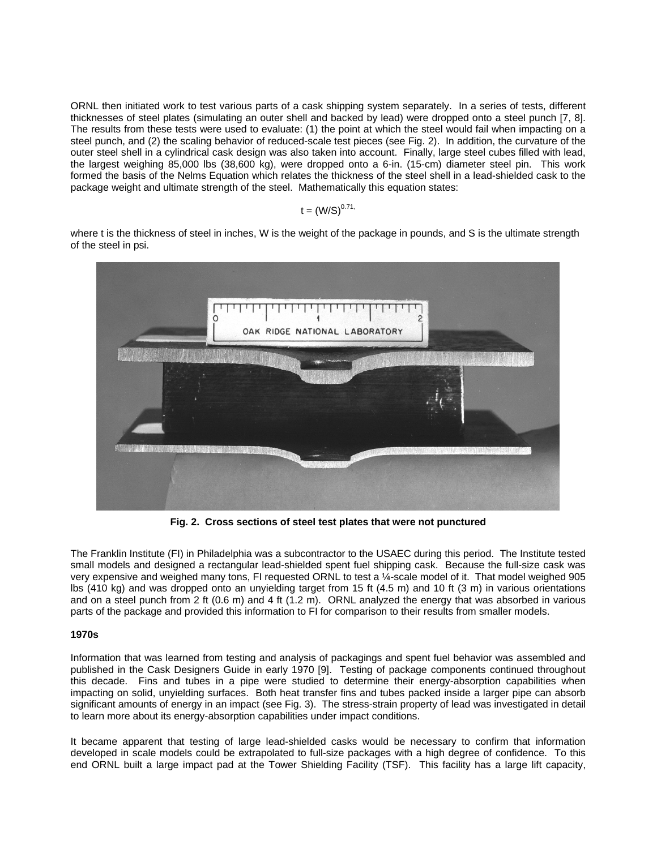ORNL then initiated work to test various parts of a cask shipping system separately. In a series of tests, different thicknesses of steel plates (simulating an outer shell and backed by lead) were dropped onto a steel punch [7, 8]. The results from these tests were used to evaluate: (1) the point at which the steel would fail when impacting on a steel punch, and (2) the scaling behavior of reduced-scale test pieces (see Fig. 2). In addition, the curvature of the outer steel shell in a cylindrical cask design was also taken into account. Finally, large steel cubes filled with lead, the largest weighing 85,000 lbs (38,600 kg), were dropped onto a 6-in. (15-cm) diameter steel pin. This work formed the basis of the Nelms Equation which relates the thickness of the steel shell in a lead-shielded cask to the package weight and ultimate strength of the steel. Mathematically this equation states:

 $t = (W/S)^{0.71}$ 

where t is the thickness of steel in inches, W is the weight of the package in pounds, and S is the ultimate strength of the steel in psi.



**Fig. 2. Cross sections of steel test plates that were not punctured** 

The Franklin Institute (FI) in Philadelphia was a subcontractor to the USAEC during this period. The Institute tested small models and designed a rectangular lead-shielded spent fuel shipping cask. Because the full-size cask was very expensive and weighed many tons, FI requested ORNL to test a ¼-scale model of it. That model weighed 905 lbs (410 kg) and was dropped onto an unyielding target from 15 ft (4.5 m) and 10 ft (3 m) in various orientations and on a steel punch from 2 ft (0.6 m) and 4 ft (1.2 m). ORNL analyzed the energy that was absorbed in various parts of the package and provided this information to FI for comparison to their results from smaller models.

# **1970s**

Information that was learned from testing and analysis of packagings and spent fuel behavior was assembled and published in the Cask Designers Guide in early 1970 [9]. Testing of package components continued throughout this decade. Fins and tubes in a pipe were studied to determine their energy-absorption capabilities when impacting on solid, unyielding surfaces. Both heat transfer fins and tubes packed inside a larger pipe can absorb significant amounts of energy in an impact (see Fig. 3). The stress-strain property of lead was investigated in detail to learn more about its energy-absorption capabilities under impact conditions.

It became apparent that testing of large lead-shielded casks would be necessary to confirm that information developed in scale models could be extrapolated to full-size packages with a high degree of confidence. To this end ORNL built a large impact pad at the Tower Shielding Facility (TSF). This facility has a large lift capacity,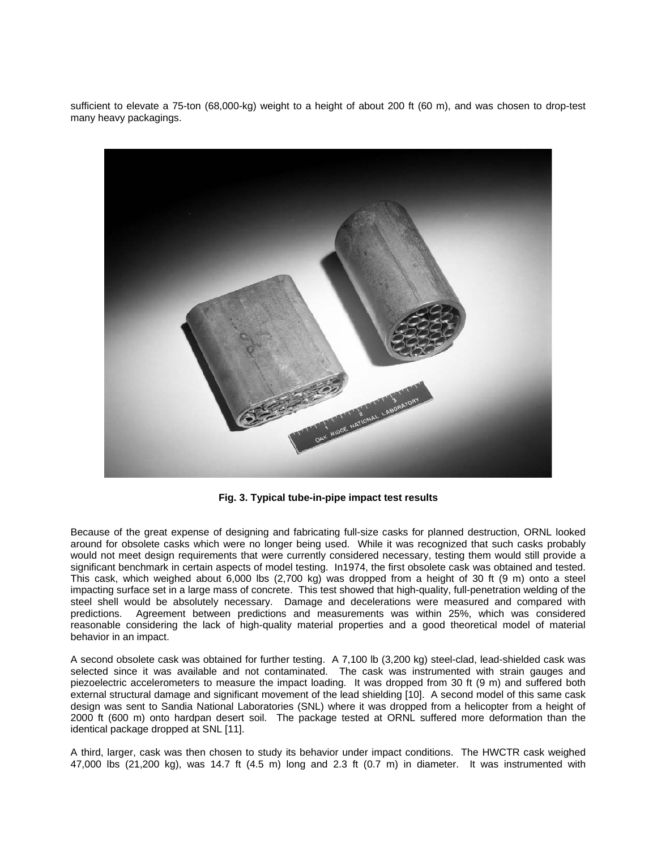sufficient to elevate a 75-ton (68,000-kg) weight to a height of about 200 ft (60 m), and was chosen to drop-test many heavy packagings.



**Fig. 3. Typical tube-in-pipe impact test results** 

Because of the great expense of designing and fabricating full-size casks for planned destruction, ORNL looked around for obsolete casks which were no longer being used. While it was recognized that such casks probably would not meet design requirements that were currently considered necessary, testing them would still provide a significant benchmark in certain aspects of model testing. In1974, the first obsolete cask was obtained and tested. This cask, which weighed about 6,000 lbs (2,700 kg) was dropped from a height of 30 ft (9 m) onto a steel impacting surface set in a large mass of concrete. This test showed that high-quality, full-penetration welding of the steel shell would be absolutely necessary. Damage and decelerations were measured and compared with predictions. Agreement between predictions and measurements was within 25%, which was considered reasonable considering the lack of high-quality material properties and a good theoretical model of material behavior in an impact.

A second obsolete cask was obtained for further testing. A 7,100 lb (3,200 kg) steel-clad, lead-shielded cask was selected since it was available and not contaminated. The cask was instrumented with strain gauges and piezoelectric accelerometers to measure the impact loading. It was dropped from 30 ft (9 m) and suffered both external structural damage and significant movement of the lead shielding [10]. A second model of this same cask design was sent to Sandia National Laboratories (SNL) where it was dropped from a helicopter from a height of 2000 ft (600 m) onto hardpan desert soil. The package tested at ORNL suffered more deformation than the identical package dropped at SNL [11].

A third, larger, cask was then chosen to study its behavior under impact conditions. The HWCTR cask weighed 47,000 lbs (21,200 kg), was 14.7 ft (4.5 m) long and 2.3 ft (0.7 m) in diameter. It was instrumented with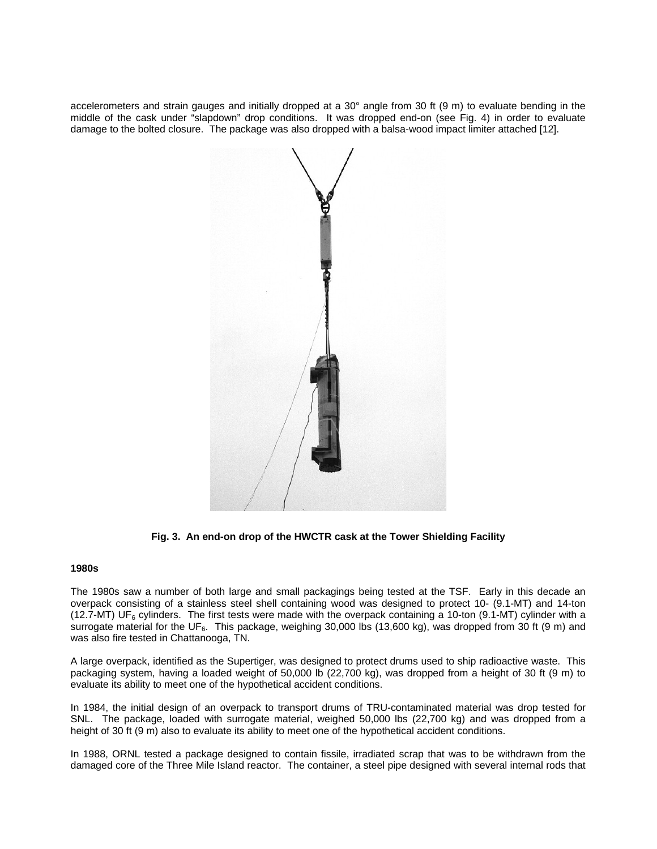accelerometers and strain gauges and initially dropped at a 30° angle from 30 ft (9 m) to evaluate bending in the middle of the cask under "slapdown" drop conditions. It was dropped end-on (see Fig. 4) in order to evaluate damage to the bolted closure. The package was also dropped with a balsa-wood impact limiter attached [12].



**Fig. 3. An end-on drop of the HWCTR cask at the Tower Shielding Facility** 

# **1980s**

The 1980s saw a number of both large and small packagings being tested at the TSF. Early in this decade an overpack consisting of a stainless steel shell containing wood was designed to protect 10- (9.1-MT) and 14-ton (12.7-MT) UF<sub>6</sub> cylinders. The first tests were made with the overpack containing a 10-ton (9.1-MT) cylinder with a surrogate material for the UF<sub>6</sub>. This package, weighing 30,000 lbs (13,600 kg), was dropped from 30 ft (9 m) and was also fire tested in Chattanooga, TN.

A large overpack, identified as the Supertiger, was designed to protect drums used to ship radioactive waste. This packaging system, having a loaded weight of 50,000 lb (22,700 kg), was dropped from a height of 30 ft (9 m) to evaluate its ability to meet one of the hypothetical accident conditions.

In 1984, the initial design of an overpack to transport drums of TRU-contaminated material was drop tested for SNL. The package, loaded with surrogate material, weighed 50,000 lbs (22,700 kg) and was dropped from a height of 30 ft (9 m) also to evaluate its ability to meet one of the hypothetical accident conditions.

In 1988, ORNL tested a package designed to contain fissile, irradiated scrap that was to be withdrawn from the damaged core of the Three Mile Island reactor. The container, a steel pipe designed with several internal rods that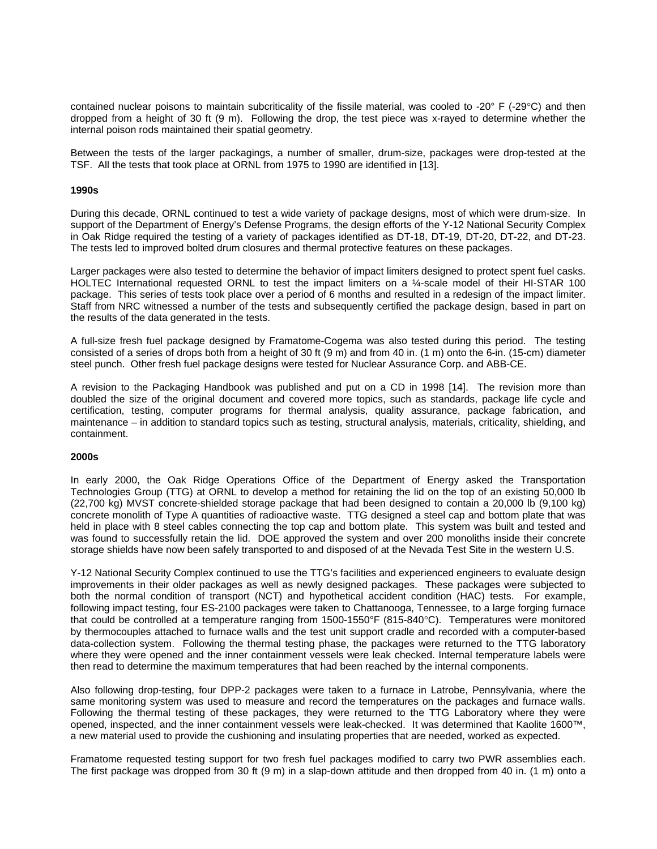contained nuclear poisons to maintain subcriticality of the fissile material, was cooled to -20° F (-29°C) and then dropped from a height of 30 ft (9 m). Following the drop, the test piece was x-rayed to determine whether the internal poison rods maintained their spatial geometry.

Between the tests of the larger packagings, a number of smaller, drum-size, packages were drop-tested at the TSF. All the tests that took place at ORNL from 1975 to 1990 are identified in [13].

#### **1990s**

During this decade, ORNL continued to test a wide variety of package designs, most of which were drum-size. In support of the Department of Energy's Defense Programs, the design efforts of the Y-12 National Security Complex in Oak Ridge required the testing of a variety of packages identified as DT-18, DT-19, DT-20, DT-22, and DT-23. The tests led to improved bolted drum closures and thermal protective features on these packages.

Larger packages were also tested to determine the behavior of impact limiters designed to protect spent fuel casks. HOLTEC International requested ORNL to test the impact limiters on a ¼-scale model of their HI-STAR 100 package. This series of tests took place over a period of 6 months and resulted in a redesign of the impact limiter. Staff from NRC witnessed a number of the tests and subsequently certified the package design, based in part on the results of the data generated in the tests.

A full-size fresh fuel package designed by Framatome-Cogema was also tested during this period. The testing consisted of a series of drops both from a height of 30 ft  $(9 \text{ m})$  and from 40 in.  $(1 \text{ m})$  onto the 6-in.  $(15 \text{ cm})$  diameter steel punch. Other fresh fuel package designs were tested for Nuclear Assurance Corp. and ABB-CE.

A revision to the Packaging Handbook was published and put on a CD in 1998 [14]. The revision more than doubled the size of the original document and covered more topics, such as standards, package life cycle and certification, testing, computer programs for thermal analysis, quality assurance, package fabrication, and maintenance – in addition to standard topics such as testing, structural analysis, materials, criticality, shielding, and containment.

## **2000s**

In early 2000, the Oak Ridge Operations Office of the Department of Energy asked the Transportation Technologies Group (TTG) at ORNL to develop a method for retaining the lid on the top of an existing 50,000 lb (22,700 kg) MVST concrete-shielded storage package that had been designed to contain a 20,000 lb (9,100 kg) concrete monolith of Type A quantities of radioactive waste. TTG designed a steel cap and bottom plate that was held in place with 8 steel cables connecting the top cap and bottom plate. This system was built and tested and was found to successfully retain the lid. DOE approved the system and over 200 monoliths inside their concrete storage shields have now been safely transported to and disposed of at the Nevada Test Site in the western U.S.

Y-12 National Security Complex continued to use the TTG's facilities and experienced engineers to evaluate design improvements in their older packages as well as newly designed packages. These packages were subjected to both the normal condition of transport (NCT) and hypothetical accident condition (HAC) tests. For example, following impact testing, four ES-2100 packages were taken to Chattanooga, Tennessee, to a large forging furnace that could be controlled at a temperature ranging from 1500-1550°F (815-840°C). Temperatures were monitored by thermocouples attached to furnace walls and the test unit support cradle and recorded with a computer-based data-collection system. Following the thermal testing phase, the packages were returned to the TTG laboratory where they were opened and the inner containment vessels were leak checked. Internal temperature labels were then read to determine the maximum temperatures that had been reached by the internal components.

Also following drop-testing, four DPP-2 packages were taken to a furnace in Latrobe, Pennsylvania, where the same monitoring system was used to measure and record the temperatures on the packages and furnace walls. Following the thermal testing of these packages, they were returned to the TTG Laboratory where they were opened, inspected, and the inner containment vessels were leak-checked. It was determined that Kaolite 1600™, a new material used to provide the cushioning and insulating properties that are needed, worked as expected.

Framatome requested testing support for two fresh fuel packages modified to carry two PWR assemblies each. The first package was dropped from 30 ft (9 m) in a slap-down attitude and then dropped from 40 in. (1 m) onto a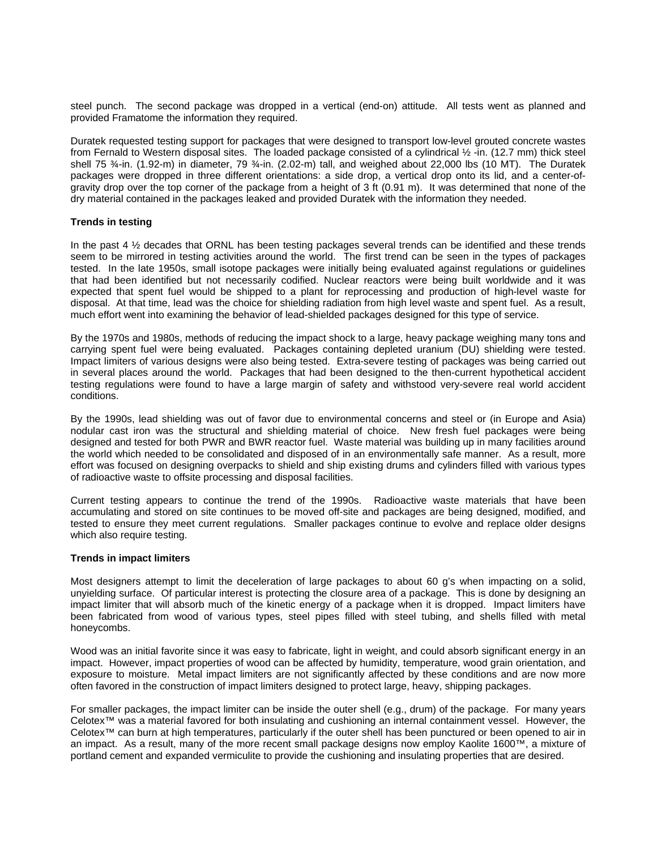steel punch. The second package was dropped in a vertical (end-on) attitude. All tests went as planned and provided Framatome the information they required.

Duratek requested testing support for packages that were designed to transport low-level grouted concrete wastes from Fernald to Western disposal sites. The loaded package consisted of a cylindrical ½ -in. (12.7 mm) thick steel shell 75 ¾-in. (1.92-m) in diameter, 79 ¾-in. (2.02-m) tall, and weighed about 22,000 lbs (10 MT). The Duratek packages were dropped in three different orientations: a side drop, a vertical drop onto its lid, and a center-ofgravity drop over the top corner of the package from a height of 3 ft (0.91 m). It was determined that none of the dry material contained in the packages leaked and provided Duratek with the information they needed.

### **Trends in testing**

In the past 4 ½ decades that ORNL has been testing packages several trends can be identified and these trends seem to be mirrored in testing activities around the world. The first trend can be seen in the types of packages tested. In the late 1950s, small isotope packages were initially being evaluated against regulations or guidelines that had been identified but not necessarily codified. Nuclear reactors were being built worldwide and it was expected that spent fuel would be shipped to a plant for reprocessing and production of high-level waste for disposal. At that time, lead was the choice for shielding radiation from high level waste and spent fuel. As a result, much effort went into examining the behavior of lead-shielded packages designed for this type of service.

By the 1970s and 1980s, methods of reducing the impact shock to a large, heavy package weighing many tons and carrying spent fuel were being evaluated. Packages containing depleted uranium (DU) shielding were tested. Impact limiters of various designs were also being tested. Extra-severe testing of packages was being carried out in several places around the world. Packages that had been designed to the then-current hypothetical accident testing regulations were found to have a large margin of safety and withstood very-severe real world accident conditions.

By the 1990s, lead shielding was out of favor due to environmental concerns and steel or (in Europe and Asia) nodular cast iron was the structural and shielding material of choice. New fresh fuel packages were being designed and tested for both PWR and BWR reactor fuel. Waste material was building up in many facilities around the world which needed to be consolidated and disposed of in an environmentally safe manner. As a result, more effort was focused on designing overpacks to shield and ship existing drums and cylinders filled with various types of radioactive waste to offsite processing and disposal facilities.

Current testing appears to continue the trend of the 1990s. Radioactive waste materials that have been accumulating and stored on site continues to be moved off-site and packages are being designed, modified, and tested to ensure they meet current regulations. Smaller packages continue to evolve and replace older designs which also require testing.

### **Trends in impact limiters**

Most designers attempt to limit the deceleration of large packages to about 60 g's when impacting on a solid, unyielding surface. Of particular interest is protecting the closure area of a package. This is done by designing an impact limiter that will absorb much of the kinetic energy of a package when it is dropped. Impact limiters have been fabricated from wood of various types, steel pipes filled with steel tubing, and shells filled with metal honeycombs.

Wood was an initial favorite since it was easy to fabricate, light in weight, and could absorb significant energy in an impact. However, impact properties of wood can be affected by humidity, temperature, wood grain orientation, and exposure to moisture. Metal impact limiters are not significantly affected by these conditions and are now more often favored in the construction of impact limiters designed to protect large, heavy, shipping packages.

For smaller packages, the impact limiter can be inside the outer shell (e.g., drum) of the package. For many years Celotex™ was a material favored for both insulating and cushioning an internal containment vessel. However, the Celotex™ can burn at high temperatures, particularly if the outer shell has been punctured or been opened to air in an impact. As a result, many of the more recent small package designs now employ Kaolite 1600™, a mixture of portland cement and expanded vermiculite to provide the cushioning and insulating properties that are desired.